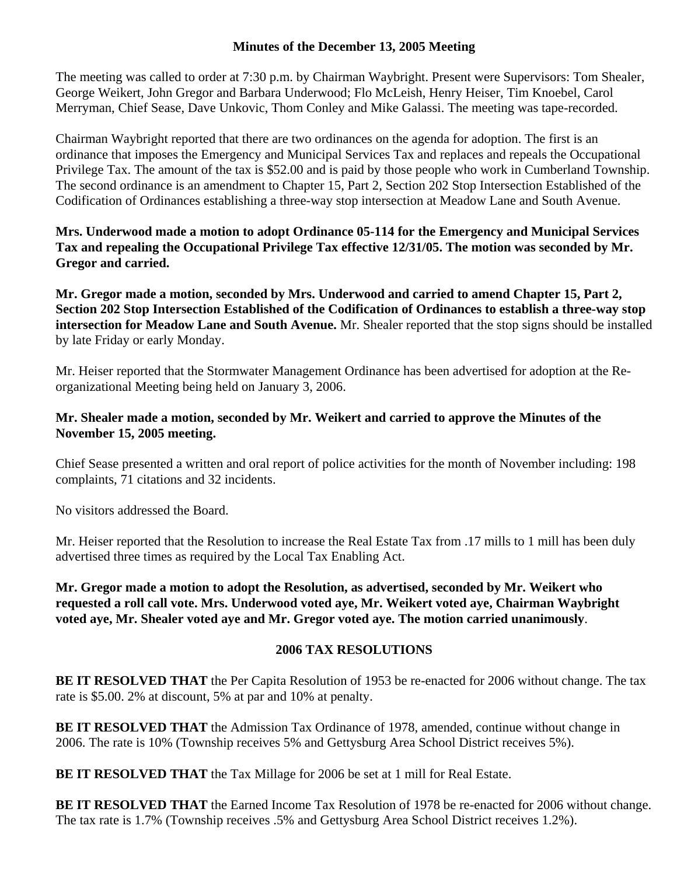## **Minutes of the December 13, 2005 Meeting**

The meeting was called to order at 7:30 p.m. by Chairman Waybright. Present were Supervisors: Tom Shealer, George Weikert, John Gregor and Barbara Underwood; Flo McLeish, Henry Heiser, Tim Knoebel, Carol Merryman, Chief Sease, Dave Unkovic, Thom Conley and Mike Galassi. The meeting was tape-recorded.

Chairman Waybright reported that there are two ordinances on the agenda for adoption. The first is an ordinance that imposes the Emergency and Municipal Services Tax and replaces and repeals the Occupational Privilege Tax. The amount of the tax is \$52.00 and is paid by those people who work in Cumberland Township. The second ordinance is an amendment to Chapter 15, Part 2, Section 202 Stop Intersection Established of the Codification of Ordinances establishing a three-way stop intersection at Meadow Lane and South Avenue.

**Mrs. Underwood made a motion to adopt Ordinance 05-114 for the Emergency and Municipal Services Tax and repealing the Occupational Privilege Tax effective 12/31/05. The motion was seconded by Mr. Gregor and carried.** 

**Mr. Gregor made a motion, seconded by Mrs. Underwood and carried to amend Chapter 15, Part 2, Section 202 Stop Intersection Established of the Codification of Ordinances to establish a three-way stop intersection for Meadow Lane and South Avenue.** Mr. Shealer reported that the stop signs should be installed by late Friday or early Monday.

Mr. Heiser reported that the Stormwater Management Ordinance has been advertised for adoption at the Reorganizational Meeting being held on January 3, 2006.

## **Mr. Shealer made a motion, seconded by Mr. Weikert and carried to approve the Minutes of the November 15, 2005 meeting.**

Chief Sease presented a written and oral report of police activities for the month of November including: 198 complaints, 71 citations and 32 incidents.

No visitors addressed the Board.

Mr. Heiser reported that the Resolution to increase the Real Estate Tax from .17 mills to 1 mill has been duly advertised three times as required by the Local Tax Enabling Act.

**Mr. Gregor made a motion to adopt the Resolution, as advertised, seconded by Mr. Weikert who requested a roll call vote. Mrs. Underwood voted aye, Mr. Weikert voted aye, Chairman Waybright voted aye, Mr. Shealer voted aye and Mr. Gregor voted aye. The motion carried unanimously**.

## **2006 TAX RESOLUTIONS**

**BE IT RESOLVED THAT** the Per Capita Resolution of 1953 be re-enacted for 2006 without change. The tax rate is \$5.00. 2% at discount, 5% at par and 10% at penalty.

**BE IT RESOLVED THAT** the Admission Tax Ordinance of 1978, amended, continue without change in 2006. The rate is 10% (Township receives 5% and Gettysburg Area School District receives 5%).

**BE IT RESOLVED THAT** the Tax Millage for 2006 be set at 1 mill for Real Estate.

**BE IT RESOLVED THAT** the Earned Income Tax Resolution of 1978 be re-enacted for 2006 without change. The tax rate is 1.7% (Township receives .5% and Gettysburg Area School District receives 1.2%).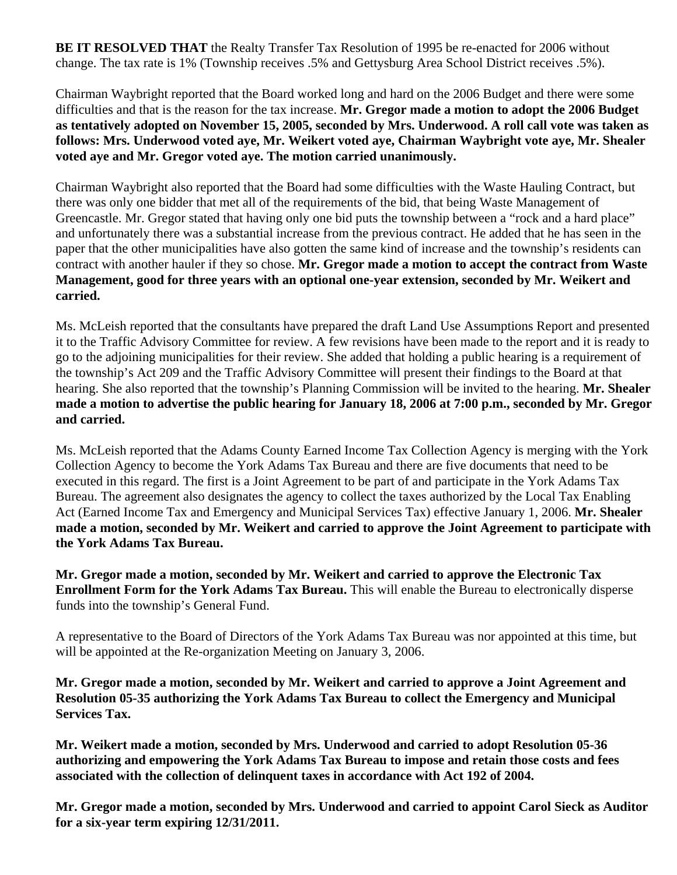**BE IT RESOLVED THAT** the Realty Transfer Tax Resolution of 1995 be re-enacted for 2006 without change. The tax rate is 1% (Township receives .5% and Gettysburg Area School District receives .5%).

Chairman Waybright reported that the Board worked long and hard on the 2006 Budget and there were some difficulties and that is the reason for the tax increase. **Mr. Gregor made a motion to adopt the 2006 Budget as tentatively adopted on November 15, 2005, seconded by Mrs. Underwood. A roll call vote was taken as follows: Mrs. Underwood voted aye, Mr. Weikert voted aye, Chairman Waybright vote aye, Mr. Shealer voted aye and Mr. Gregor voted aye. The motion carried unanimously.** 

Chairman Waybright also reported that the Board had some difficulties with the Waste Hauling Contract, but there was only one bidder that met all of the requirements of the bid, that being Waste Management of Greencastle. Mr. Gregor stated that having only one bid puts the township between a "rock and a hard place" and unfortunately there was a substantial increase from the previous contract. He added that he has seen in the paper that the other municipalities have also gotten the same kind of increase and the township's residents can contract with another hauler if they so chose. **Mr. Gregor made a motion to accept the contract from Waste Management, good for three years with an optional one-year extension, seconded by Mr. Weikert and carried.** 

Ms. McLeish reported that the consultants have prepared the draft Land Use Assumptions Report and presented it to the Traffic Advisory Committee for review. A few revisions have been made to the report and it is ready to go to the adjoining municipalities for their review. She added that holding a public hearing is a requirement of the township's Act 209 and the Traffic Advisory Committee will present their findings to the Board at that hearing. She also reported that the township's Planning Commission will be invited to the hearing. **Mr. Shealer made a motion to advertise the public hearing for January 18, 2006 at 7:00 p.m., seconded by Mr. Gregor and carried.** 

Ms. McLeish reported that the Adams County Earned Income Tax Collection Agency is merging with the York Collection Agency to become the York Adams Tax Bureau and there are five documents that need to be executed in this regard. The first is a Joint Agreement to be part of and participate in the York Adams Tax Bureau. The agreement also designates the agency to collect the taxes authorized by the Local Tax Enabling Act (Earned Income Tax and Emergency and Municipal Services Tax) effective January 1, 2006. **Mr. Shealer made a motion, seconded by Mr. Weikert and carried to approve the Joint Agreement to participate with the York Adams Tax Bureau.** 

**Mr. Gregor made a motion, seconded by Mr. Weikert and carried to approve the Electronic Tax Enrollment Form for the York Adams Tax Bureau.** This will enable the Bureau to electronically disperse funds into the township's General Fund.

A representative to the Board of Directors of the York Adams Tax Bureau was nor appointed at this time, but will be appointed at the Re-organization Meeting on January 3, 2006.

**Mr. Gregor made a motion, seconded by Mr. Weikert and carried to approve a Joint Agreement and Resolution 05-35 authorizing the York Adams Tax Bureau to collect the Emergency and Municipal Services Tax.** 

**Mr. Weikert made a motion, seconded by Mrs. Underwood and carried to adopt Resolution 05-36 authorizing and empowering the York Adams Tax Bureau to impose and retain those costs and fees associated with the collection of delinquent taxes in accordance with Act 192 of 2004.** 

**Mr. Gregor made a motion, seconded by Mrs. Underwood and carried to appoint Carol Sieck as Auditor for a six-year term expiring 12/31/2011.**